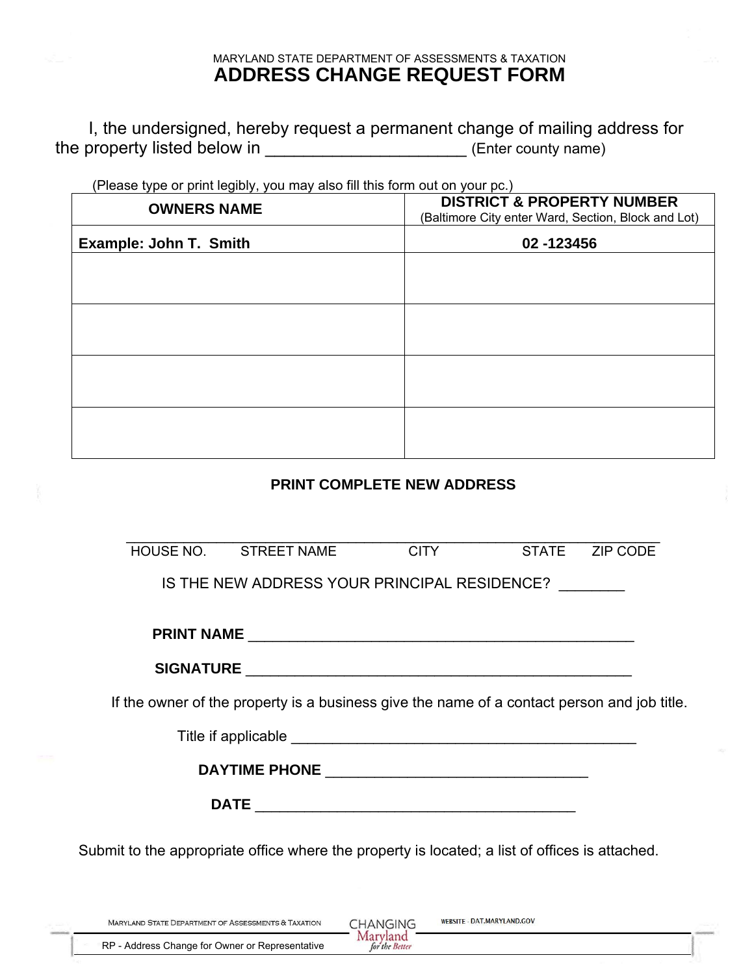## MARYLAND STATE DEPARTMENT OF ASSESSMENTS & TAXATION **ADDRESS CHANGE REQUEST FORM**

I, the undersigned, hereby request a permanent change of mailing address for the property listed below in \_\_\_\_\_\_\_\_\_\_\_\_\_\_\_\_\_\_\_\_\_\_\_\_\_\_\_\_\_\_ (Enter county name)

(Please type or print legibly, you may also fill this form out on your pc.)

| <b>OWNERS NAME</b>     | <b>DISTRICT &amp; PROPERTY NUMBER</b><br>(Baltimore City enter Ward, Section, Block and Lot)<br>02 -123456 |  |  |
|------------------------|------------------------------------------------------------------------------------------------------------|--|--|
| Example: John T. Smith |                                                                                                            |  |  |
|                        |                                                                                                            |  |  |
|                        |                                                                                                            |  |  |
|                        |                                                                                                            |  |  |
|                        |                                                                                                            |  |  |
|                        |                                                                                                            |  |  |
|                        |                                                                                                            |  |  |
|                        |                                                                                                            |  |  |
|                        |                                                                                                            |  |  |

## **PRINT COMPLETE NEW ADDRESS**

|                                                                                             | HOUSE NO. STREET NAME                                                                          | <b>CITY</b> |  | STATE ZIP CODE |  |  |  |
|---------------------------------------------------------------------------------------------|------------------------------------------------------------------------------------------------|-------------|--|----------------|--|--|--|
| IS THE NEW ADDRESS YOUR PRINCIPAL RESIDENCE?                                                |                                                                                                |             |  |                |  |  |  |
|                                                                                             |                                                                                                |             |  |                |  |  |  |
|                                                                                             |                                                                                                |             |  |                |  |  |  |
| If the owner of the property is a business give the name of a contact person and job title. |                                                                                                |             |  |                |  |  |  |
|                                                                                             |                                                                                                |             |  |                |  |  |  |
|                                                                                             |                                                                                                |             |  |                |  |  |  |
|                                                                                             |                                                                                                |             |  |                |  |  |  |
|                                                                                             | Submit to the appropriate office where the property is located; a list of offices is attached. |             |  |                |  |  |  |

| <b>MARYLAND STATE DEPARTMENT OF ASSESSMENTS &amp; TAXATION</b> |               | WEBSITE - DAT.MARYLAND.GOV |
|----------------------------------------------------------------|---------------|----------------------------|
| RP - Address Change for Owner or Representative                | or the Better |                            |